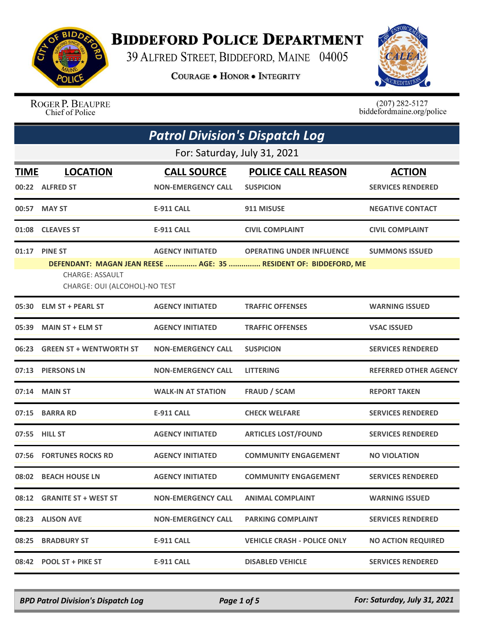

## **BIDDEFORD POLICE DEPARTMENT**

39 ALFRED STREET, BIDDEFORD, MAINE 04005

**COURAGE . HONOR . INTEGRITY** 



ROGER P. BEAUPRE Chief of Police

 $(207)$  282-5127<br>biddefordmaine.org/police

|             | <b>Patrol Division's Dispatch Log</b>                                     |                                                 |                                                                                                      |                                           |  |
|-------------|---------------------------------------------------------------------------|-------------------------------------------------|------------------------------------------------------------------------------------------------------|-------------------------------------------|--|
|             | For: Saturday, July 31, 2021                                              |                                                 |                                                                                                      |                                           |  |
| <b>TIME</b> | <b>LOCATION</b><br>00:22 ALFRED ST                                        | <b>CALL SOURCE</b><br><b>NON-EMERGENCY CALL</b> | <b>POLICE CALL REASON</b><br><b>SUSPICION</b>                                                        | <b>ACTION</b><br><b>SERVICES RENDERED</b> |  |
| 00:57       | <b>MAY ST</b>                                                             | <b>E-911 CALL</b>                               | 911 MISUSE                                                                                           | <b>NEGATIVE CONTACT</b>                   |  |
| 01:08       | <b>CLEAVES ST</b>                                                         | <b>E-911 CALL</b>                               | <b>CIVIL COMPLAINT</b>                                                                               | <b>CIVIL COMPLAINT</b>                    |  |
| 01:17       | <b>PINE ST</b><br><b>CHARGE: ASSAULT</b><br>CHARGE: OUI (ALCOHOL)-NO TEST | <b>AGENCY INITIATED</b>                         | <b>OPERATING UNDER INFLUENCE</b><br>DEFENDANT: MAGAN JEAN REESE  AGE: 35  RESIDENT OF: BIDDEFORD, ME | <b>SUMMONS ISSUED</b>                     |  |
|             | 05:30 ELM ST + PEARL ST                                                   | <b>AGENCY INITIATED</b>                         | <b>TRAFFIC OFFENSES</b>                                                                              | <b>WARNING ISSUED</b>                     |  |
| 05:39       | <b>MAIN ST + ELM ST</b>                                                   | <b>AGENCY INITIATED</b>                         | <b>TRAFFIC OFFENSES</b>                                                                              | <b>VSAC ISSUED</b>                        |  |
|             | 06:23 GREEN ST + WENTWORTH ST                                             | <b>NON-EMERGENCY CALL</b>                       | <b>SUSPICION</b>                                                                                     | <b>SERVICES RENDERED</b>                  |  |
| 07:13       | <b>PIERSONS LN</b>                                                        | <b>NON-EMERGENCY CALL</b>                       | <b>LITTERING</b>                                                                                     | <b>REFERRED OTHER AGENCY</b>              |  |
| 07:14       | <b>MAIN ST</b>                                                            | <b>WALK-IN AT STATION</b>                       | <b>FRAUD / SCAM</b>                                                                                  | <b>REPORT TAKEN</b>                       |  |
| 07:15       | <b>BARRA RD</b>                                                           | <b>E-911 CALL</b>                               | <b>CHECK WELFARE</b>                                                                                 | <b>SERVICES RENDERED</b>                  |  |
|             | 07:55 HILL ST                                                             | <b>AGENCY INITIATED</b>                         | <b>ARTICLES LOST/FOUND</b>                                                                           | <b>SERVICES RENDERED</b>                  |  |
|             | 07:56 FORTUNES ROCKS RD                                                   | <b>AGENCY INITIATED</b>                         | <b>COMMUNITY ENGAGEMENT</b>                                                                          | <b>NO VIOLATION</b>                       |  |
|             | 08:02 BEACH HOUSE LN                                                      | <b>AGENCY INITIATED</b>                         | <b>COMMUNITY ENGAGEMENT</b>                                                                          | <b>SERVICES RENDERED</b>                  |  |
|             | 08:12 GRANITE ST + WEST ST                                                | <b>NON-EMERGENCY CALL</b>                       | <b>ANIMAL COMPLAINT</b>                                                                              | <b>WARNING ISSUED</b>                     |  |
|             | 08:23 ALISON AVE                                                          | NON-EMERGENCY CALL                              | <b>PARKING COMPLAINT</b>                                                                             | <b>SERVICES RENDERED</b>                  |  |
|             | 08:25 BRADBURY ST                                                         | E-911 CALL                                      | <b>VEHICLE CRASH - POLICE ONLY</b>                                                                   | <b>NO ACTION REQUIRED</b>                 |  |
|             | 08:42 POOL ST + PIKE ST                                                   | E-911 CALL                                      | <b>DISABLED VEHICLE</b>                                                                              | <b>SERVICES RENDERED</b>                  |  |

*BPD Patrol Division's Dispatch Log Page 1 of 5 For: Saturday, July 31, 2021*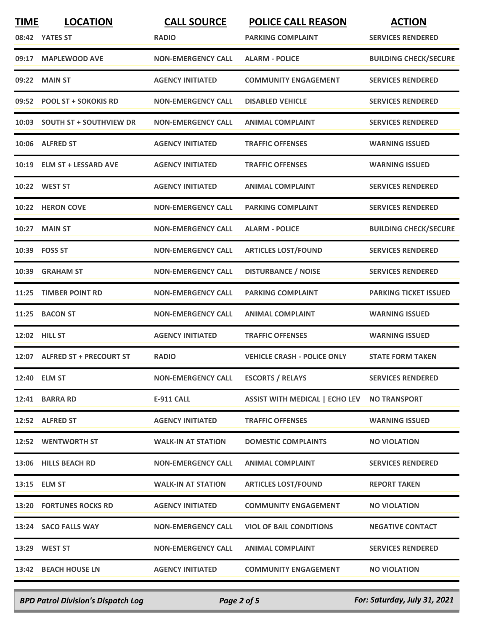| <b>TIME</b> | <b>LOCATION</b>                | <b>CALL SOURCE</b>        | <b>POLICE CALL REASON</b>             | <b>ACTION</b>                |
|-------------|--------------------------------|---------------------------|---------------------------------------|------------------------------|
|             | 08:42 YATES ST                 | <b>RADIO</b>              | <b>PARKING COMPLAINT</b>              | <b>SERVICES RENDERED</b>     |
| 09:17       | <b>MAPLEWOOD AVE</b>           | <b>NON-EMERGENCY CALL</b> | <b>ALARM - POLICE</b>                 | <b>BUILDING CHECK/SECURE</b> |
| 09:22       | <b>MAIN ST</b>                 | <b>AGENCY INITIATED</b>   | <b>COMMUNITY ENGAGEMENT</b>           | <b>SERVICES RENDERED</b>     |
| 09:52       | <b>POOL ST + SOKOKIS RD</b>    | <b>NON-EMERGENCY CALL</b> | <b>DISABLED VEHICLE</b>               | <b>SERVICES RENDERED</b>     |
| 10:03       | <b>SOUTH ST + SOUTHVIEW DR</b> | <b>NON-EMERGENCY CALL</b> | <b>ANIMAL COMPLAINT</b>               | <b>SERVICES RENDERED</b>     |
| 10:06       | <b>ALFRED ST</b>               | <b>AGENCY INITIATED</b>   | <b>TRAFFIC OFFENSES</b>               | <b>WARNING ISSUED</b>        |
|             | 10:19 ELM ST + LESSARD AVE     | <b>AGENCY INITIATED</b>   | <b>TRAFFIC OFFENSES</b>               | <b>WARNING ISSUED</b>        |
| 10:22       | <b>WEST ST</b>                 | <b>AGENCY INITIATED</b>   | <b>ANIMAL COMPLAINT</b>               | <b>SERVICES RENDERED</b>     |
|             | 10:22 HERON COVE               | <b>NON-EMERGENCY CALL</b> | <b>PARKING COMPLAINT</b>              | <b>SERVICES RENDERED</b>     |
|             | 10:27 MAIN ST                  | <b>NON-EMERGENCY CALL</b> | <b>ALARM - POLICE</b>                 | <b>BUILDING CHECK/SECURE</b> |
|             | 10:39 FOSS ST                  | <b>NON-EMERGENCY CALL</b> | <b>ARTICLES LOST/FOUND</b>            | <b>SERVICES RENDERED</b>     |
| 10:39       | <b>GRAHAM ST</b>               | <b>NON-EMERGENCY CALL</b> | <b>DISTURBANCE / NOISE</b>            | <b>SERVICES RENDERED</b>     |
| 11:25       | <b>TIMBER POINT RD</b>         | <b>NON-EMERGENCY CALL</b> | <b>PARKING COMPLAINT</b>              | <b>PARKING TICKET ISSUED</b> |
| 11:25       | <b>BACON ST</b>                | <b>NON-EMERGENCY CALL</b> | <b>ANIMAL COMPLAINT</b>               | <b>WARNING ISSUED</b>        |
|             | 12:02 HILL ST                  | <b>AGENCY INITIATED</b>   | <b>TRAFFIC OFFENSES</b>               | <b>WARNING ISSUED</b>        |
|             | 12:07 ALFRED ST + PRECOURT ST  | <b>RADIO</b>              | <b>VEHICLE CRASH - POLICE ONLY</b>    | <b>STATE FORM TAKEN</b>      |
|             | 12:40 ELM ST                   | <b>NON-EMERGENCY CALL</b> | <b>ESCORTS / RELAYS</b>               | <b>SERVICES RENDERED</b>     |
|             | 12:41 BARRA RD                 | <b>E-911 CALL</b>         | <b>ASSIST WITH MEDICAL   ECHO LEV</b> | <b>NO TRANSPORT</b>          |
|             | 12:52 ALFRED ST                | <b>AGENCY INITIATED</b>   | <b>TRAFFIC OFFENSES</b>               | <b>WARNING ISSUED</b>        |
|             | 12:52 WENTWORTH ST             | <b>WALK-IN AT STATION</b> | <b>DOMESTIC COMPLAINTS</b>            | <b>NO VIOLATION</b>          |
|             | 13:06 HILLS BEACH RD           | <b>NON-EMERGENCY CALL</b> | <b>ANIMAL COMPLAINT</b>               | <b>SERVICES RENDERED</b>     |
|             | 13:15 ELM ST                   | <b>WALK-IN AT STATION</b> | <b>ARTICLES LOST/FOUND</b>            | <b>REPORT TAKEN</b>          |
|             | <b>13:20 FORTUNES ROCKS RD</b> | <b>AGENCY INITIATED</b>   | <b>COMMUNITY ENGAGEMENT</b>           | <b>NO VIOLATION</b>          |
|             | 13:24 SACO FALLS WAY           | <b>NON-EMERGENCY CALL</b> | <b>VIOL OF BAIL CONDITIONS</b>        | <b>NEGATIVE CONTACT</b>      |
|             | 13:29 WEST ST                  | <b>NON-EMERGENCY CALL</b> | <b>ANIMAL COMPLAINT</b>               | <b>SERVICES RENDERED</b>     |
|             | 13:42 BEACH HOUSE LN           | <b>AGENCY INITIATED</b>   | <b>COMMUNITY ENGAGEMENT</b>           | <b>NO VIOLATION</b>          |

*BPD Patrol Division's Dispatch Log Page 2 of 5 For: Saturday, July 31, 2021*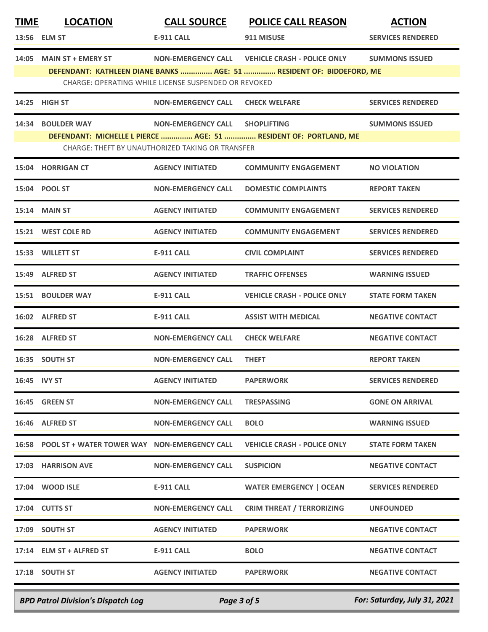| <b>TIME</b> | <b>LOCATION</b>                                    | <b>CALL SOURCE</b>                                   | <b>POLICE CALL REASON</b>                                            | <b>ACTION</b>            |
|-------------|----------------------------------------------------|------------------------------------------------------|----------------------------------------------------------------------|--------------------------|
|             | 13:56 ELM ST                                       | <b>E-911 CALL</b>                                    | 911 MISUSE                                                           | <b>SERVICES RENDERED</b> |
|             | 14:05 MAIN ST + EMERY ST                           |                                                      | NON-EMERGENCY CALL VEHICLE CRASH - POLICE ONLY                       | <b>SUMMONS ISSUED</b>    |
|             |                                                    | CHARGE: OPERATING WHILE LICENSE SUSPENDED OR REVOKED | DEFENDANT: KATHLEEN DIANE BANKS  AGE: 51  RESIDENT OF: BIDDEFORD, ME |                          |
|             | 14:25 HIGH ST                                      | <b>NON-EMERGENCY CALL</b>                            | <b>CHECK WELFARE</b>                                                 | <b>SERVICES RENDERED</b> |
|             | 14:34 BOULDER WAY                                  | NON-EMERGENCY CALL SHOPLIFTING                       |                                                                      | <b>SUMMONS ISSUED</b>    |
|             |                                                    | CHARGE: THEFT BY UNAUTHORIZED TAKING OR TRANSFER     | DEFENDANT: MICHELLE L PIERCE  AGE: 51  RESIDENT OF: PORTLAND, ME     |                          |
|             | 15:04 HORRIGAN CT                                  | <b>AGENCY INITIATED</b>                              | <b>COMMUNITY ENGAGEMENT</b>                                          | <b>NO VIOLATION</b>      |
|             | 15:04 POOL ST                                      | <b>NON-EMERGENCY CALL</b>                            | <b>DOMESTIC COMPLAINTS</b>                                           | <b>REPORT TAKEN</b>      |
|             | <b>15:14 MAIN ST</b>                               | <b>AGENCY INITIATED</b>                              | <b>COMMUNITY ENGAGEMENT</b>                                          | <b>SERVICES RENDERED</b> |
|             | 15:21 WEST COLE RD                                 | <b>AGENCY INITIATED</b>                              | <b>COMMUNITY ENGAGEMENT</b>                                          | <b>SERVICES RENDERED</b> |
|             | 15:33 WILLETT ST                                   | <b>E-911 CALL</b>                                    | <b>CIVIL COMPLAINT</b>                                               | <b>SERVICES RENDERED</b> |
|             | 15:49 ALFRED ST                                    | <b>AGENCY INITIATED</b>                              | <b>TRAFFIC OFFENSES</b>                                              | <b>WARNING ISSUED</b>    |
|             | 15:51 BOULDER WAY                                  | E-911 CALL                                           | <b>VEHICLE CRASH - POLICE ONLY</b>                                   | <b>STATE FORM TAKEN</b>  |
|             | 16:02 ALFRED ST                                    | <b>E-911 CALL</b>                                    | <b>ASSIST WITH MEDICAL</b>                                           | <b>NEGATIVE CONTACT</b>  |
|             | 16:28 ALFRED ST                                    | <b>NON-EMERGENCY CALL</b>                            | <b>CHECK WELFARE</b>                                                 | <b>NEGATIVE CONTACT</b>  |
|             | 16:35 SOUTH ST                                     | <b>NON-EMERGENCY CALL</b>                            | <b>THEFT</b>                                                         | <b>REPORT TAKEN</b>      |
|             | 16:45 IVY ST                                       | <b>AGENCY INITIATED</b>                              | <b>PAPERWORK</b>                                                     | <b>SERVICES RENDERED</b> |
|             | 16:45 GREEN ST                                     | <b>NON-EMERGENCY CALL</b>                            | <b>TRESPASSING</b>                                                   | <b>GONE ON ARRIVAL</b>   |
|             | 16:46 ALFRED ST                                    | <b>NON-EMERGENCY CALL</b>                            | <b>BOLO</b>                                                          | <b>WARNING ISSUED</b>    |
|             | 16:58 POOL ST + WATER TOWER WAY NON-EMERGENCY CALL |                                                      | <b>VEHICLE CRASH - POLICE ONLY</b>                                   | <b>STATE FORM TAKEN</b>  |
|             | 17:03 HARRISON AVE                                 | <b>NON-EMERGENCY CALL</b>                            | <b>SUSPICION</b>                                                     | <b>NEGATIVE CONTACT</b>  |
|             | 17:04 WOOD ISLE                                    | E-911 CALL                                           | <b>WATER EMERGENCY   OCEAN</b>                                       | <b>SERVICES RENDERED</b> |
|             | 17:04 CUTTS ST                                     | <b>NON-EMERGENCY CALL</b>                            | <b>CRIM THREAT / TERRORIZING</b>                                     | <b>UNFOUNDED</b>         |
|             | 17:09 SOUTH ST                                     | <b>AGENCY INITIATED</b>                              | <b>PAPERWORK</b>                                                     | <b>NEGATIVE CONTACT</b>  |
|             | 17:14 ELM ST + ALFRED ST                           | <b>E-911 CALL</b>                                    | <b>BOLO</b>                                                          | <b>NEGATIVE CONTACT</b>  |
|             | 17:18 SOUTH ST                                     | <b>AGENCY INITIATED</b>                              | <b>PAPERWORK</b>                                                     | <b>NEGATIVE CONTACT</b>  |
|             |                                                    |                                                      |                                                                      |                          |

*BPD Patrol Division's Dispatch Log Page 3 of 5 For: Saturday, July 31, 2021*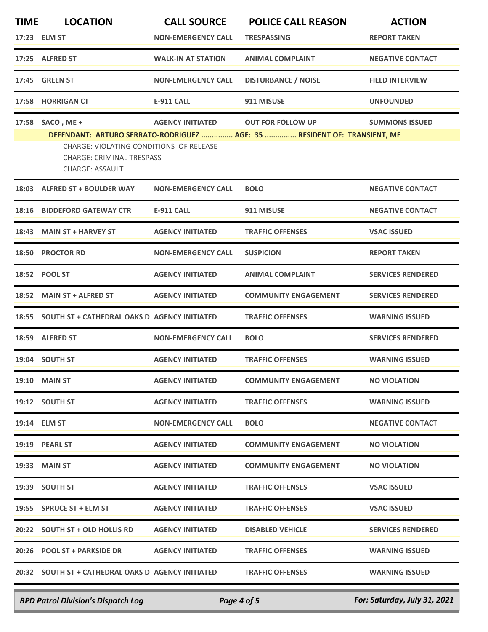| <b>TIME</b> | <b>LOCATION</b>                                                                                       | <b>CALL SOURCE</b>        | <b>POLICE CALL REASON</b>                                                | <b>ACTION</b>            |
|-------------|-------------------------------------------------------------------------------------------------------|---------------------------|--------------------------------------------------------------------------|--------------------------|
|             | 17:23 ELM ST                                                                                          | <b>NON-EMERGENCY CALL</b> | <b>TRESPASSING</b>                                                       | <b>REPORT TAKEN</b>      |
|             | 17:25 ALFRED ST                                                                                       | <b>WALK-IN AT STATION</b> | <b>ANIMAL COMPLAINT</b>                                                  | <b>NEGATIVE CONTACT</b>  |
| 17:45       | <b>GREEN ST</b>                                                                                       | <b>NON-EMERGENCY CALL</b> | <b>DISTURBANCE / NOISE</b>                                               | <b>FIELD INTERVIEW</b>   |
|             | 17:58 HORRIGAN CT                                                                                     | <b>E-911 CALL</b>         | 911 MISUSE                                                               | <b>UNFOUNDED</b>         |
| 17:58       | SACO, ME+                                                                                             | <b>AGENCY INITIATED</b>   | <b>OUT FOR FOLLOW UP</b>                                                 | <b>SUMMONS ISSUED</b>    |
|             | CHARGE: VIOLATING CONDITIONS OF RELEASE<br><b>CHARGE: CRIMINAL TRESPASS</b><br><b>CHARGE: ASSAULT</b> |                           | DEFENDANT: ARTURO SERRATO-RODRIGUEZ  AGE: 35  RESIDENT OF: TRANSIENT, ME |                          |
| 18:03       | <b>ALFRED ST + BOULDER WAY</b>                                                                        | <b>NON-EMERGENCY CALL</b> | <b>BOLO</b>                                                              | <b>NEGATIVE CONTACT</b>  |
|             | 18:16 BIDDEFORD GATEWAY CTR                                                                           | <b>E-911 CALL</b>         | 911 MISUSE                                                               | <b>NEGATIVE CONTACT</b>  |
| 18:43       | <b>MAIN ST + HARVEY ST</b>                                                                            | <b>AGENCY INITIATED</b>   | <b>TRAFFIC OFFENSES</b>                                                  | <b>VSAC ISSUED</b>       |
| 18:50       | <b>PROCTOR RD</b>                                                                                     | <b>NON-EMERGENCY CALL</b> | <b>SUSPICION</b>                                                         | <b>REPORT TAKEN</b>      |
|             | 18:52 POOL ST                                                                                         | <b>AGENCY INITIATED</b>   | <b>ANIMAL COMPLAINT</b>                                                  | <b>SERVICES RENDERED</b> |
| 18:52       | <b>MAIN ST + ALFRED ST</b>                                                                            | <b>AGENCY INITIATED</b>   | <b>COMMUNITY ENGAGEMENT</b>                                              | <b>SERVICES RENDERED</b> |
|             | 18:55 SOUTH ST + CATHEDRAL OAKS D AGENCY INITIATED                                                    |                           | <b>TRAFFIC OFFENSES</b>                                                  | <b>WARNING ISSUED</b>    |
| 18:59       | <b>ALFRED ST</b>                                                                                      | <b>NON-EMERGENCY CALL</b> | <b>BOLO</b>                                                              | <b>SERVICES RENDERED</b> |
|             | 19:04 SOUTH ST                                                                                        | <b>AGENCY INITIATED</b>   | <b>TRAFFIC OFFENSES</b>                                                  | <b>WARNING ISSUED</b>    |
|             | <b>19:10 MAIN ST</b>                                                                                  | <b>AGENCY INITIATED</b>   | <b>COMMUNITY ENGAGEMENT</b>                                              | <b>NO VIOLATION</b>      |
|             | 19:12 SOUTH ST                                                                                        | <b>AGENCY INITIATED</b>   | <b>TRAFFIC OFFENSES</b>                                                  | <b>WARNING ISSUED</b>    |
|             | 19:14 ELM ST                                                                                          | <b>NON-EMERGENCY CALL</b> | <b>BOLO</b>                                                              | <b>NEGATIVE CONTACT</b>  |
|             | 19:19 PEARL ST                                                                                        | <b>AGENCY INITIATED</b>   | <b>COMMUNITY ENGAGEMENT</b>                                              | <b>NO VIOLATION</b>      |
|             | 19:33 MAIN ST                                                                                         | <b>AGENCY INITIATED</b>   | <b>COMMUNITY ENGAGEMENT</b>                                              | <b>NO VIOLATION</b>      |
|             | 19:39 SOUTH ST                                                                                        | <b>AGENCY INITIATED</b>   | <b>TRAFFIC OFFENSES</b>                                                  | <b>VSAC ISSUED</b>       |
|             | 19:55 SPRUCE ST + ELM ST                                                                              | <b>AGENCY INITIATED</b>   | <b>TRAFFIC OFFENSES</b>                                                  | <b>VSAC ISSUED</b>       |
|             | 20:22 SOUTH ST + OLD HOLLIS RD                                                                        | <b>AGENCY INITIATED</b>   | <b>DISABLED VEHICLE</b>                                                  | <b>SERVICES RENDERED</b> |
|             | 20:26 POOL ST + PARKSIDE DR                                                                           | <b>AGENCY INITIATED</b>   | <b>TRAFFIC OFFENSES</b>                                                  | <b>WARNING ISSUED</b>    |
|             | 20:32 SOUTH ST + CATHEDRAL OAKS D AGENCY INITIATED                                                    |                           | <b>TRAFFIC OFFENSES</b>                                                  | <b>WARNING ISSUED</b>    |
|             |                                                                                                       |                           |                                                                          |                          |

*BPD Patrol Division's Dispatch Log Page 4 of 5 For: Saturday, July 31, 2021*